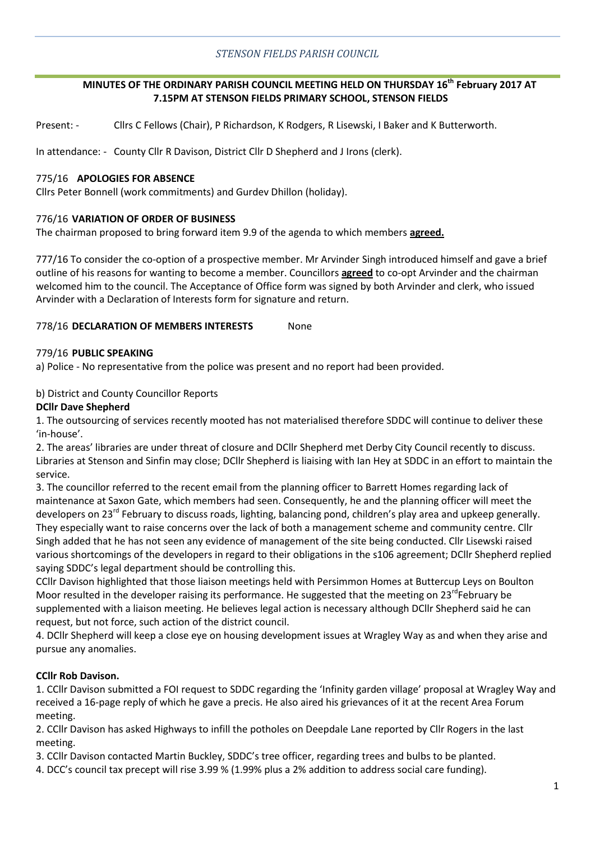## **MINUTES OF THE ORDINARY PARISH COUNCIL MEETING HELD ON THURSDAY 16th February 2017 AT 7.15PM AT STENSON FIELDS PRIMARY SCHOOL, STENSON FIELDS**

Present: - Cllrs C Fellows (Chair), P Richardson, K Rodgers, R Lisewski, I Baker and K Butterworth.

In attendance: - County Cllr R Davison, District Cllr D Shepherd and J Irons (clerk).

## 775/16 **APOLOGIES FOR ABSENCE**

Cllrs Peter Bonnell (work commitments) and Gurdev Dhillon (holiday).

## 776/16 **VARIATION OF ORDER OF BUSINESS**

The chairman proposed to bring forward item 9.9 of the agenda to which members **agreed.** 

777/16 To consider the co-option of a prospective member. Mr Arvinder Singh introduced himself and gave a brief outline of his reasons for wanting to become a member. Councillors **agreed** to co-opt Arvinder and the chairman welcomed him to the council. The Acceptance of Office form was signed by both Arvinder and clerk, who issued Arvinder with a Declaration of Interests form for signature and return.

## 778/16 **DECLARATION OF MEMBERS INTERESTS** None

## 779/16 **PUBLIC SPEAKING**

a) Police - No representative from the police was present and no report had been provided.

## b) District and County Councillor Reports

### **DCllr Dave Shepherd**

1. The outsourcing of services recently mooted has not materialised therefore SDDC will continue to deliver these 'in-house'.

2. The areas' libraries are under threat of closure and DCllr Shepherd met Derby City Council recently to discuss. Libraries at Stenson and Sinfin may close; DCllr Shepherd is liaising with Ian Hey at SDDC in an effort to maintain the service.

3. The councillor referred to the recent email from the planning officer to Barrett Homes regarding lack of maintenance at Saxon Gate, which members had seen. Consequently, he and the planning officer will meet the developers on 23<sup>rd</sup> February to discuss roads, lighting, balancing pond, children's play area and upkeep generally. They especially want to raise concerns over the lack of both a management scheme and community centre. Cllr Singh added that he has not seen any evidence of management of the site being conducted. Cllr Lisewski raised various shortcomings of the developers in regard to their obligations in the s106 agreement; DCllr Shepherd replied saying SDDC's legal department should be controlling this.

CCllr Davison highlighted that those liaison meetings held with Persimmon Homes at Buttercup Leys on Boulton Moor resulted in the developer raising its performance. He suggested that the meeting on 23<sup>rd</sup>February be supplemented with a liaison meeting. He believes legal action is necessary although DCllr Shepherd said he can request, but not force, such action of the district council.

4. DCllr Shepherd will keep a close eye on housing development issues at Wragley Way as and when they arise and pursue any anomalies.

## **CCllr Rob Davison.**

1. CCllr Davison submitted a FOI request to SDDC regarding the 'Infinity garden village' proposal at Wragley Way and received a 16-page reply of which he gave a precis. He also aired his grievances of it at the recent Area Forum meeting.

2. CCllr Davison has asked Highways to infill the potholes on Deepdale Lane reported by Cllr Rogers in the last meeting.

3. CCllr Davison contacted Martin Buckley, SDDC's tree officer, regarding trees and bulbs to be planted.

4. DCC's council tax precept will rise 3.99 % (1.99% plus a 2% addition to address social care funding).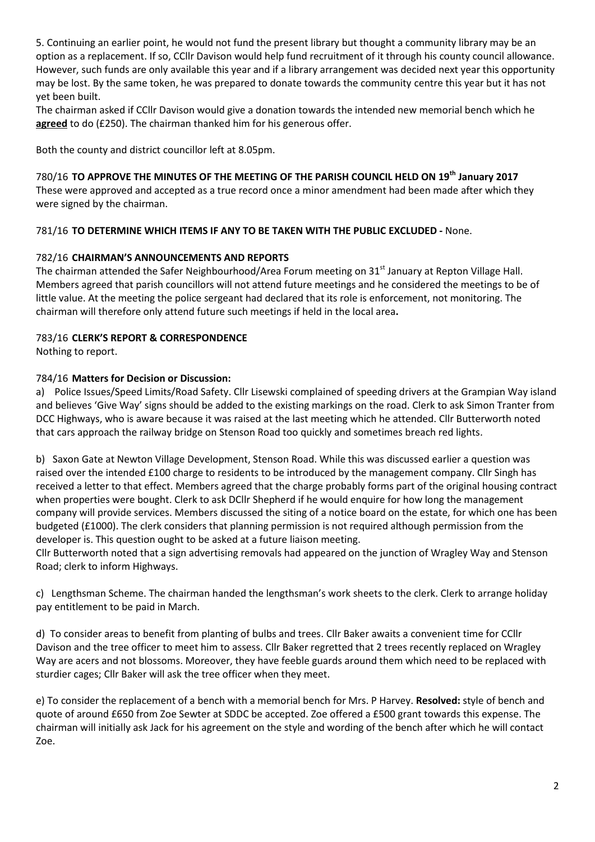5. Continuing an earlier point, he would not fund the present library but thought a community library may be an option as a replacement. If so, CCllr Davison would help fund recruitment of it through his county council allowance. However, such funds are only available this year and if a library arrangement was decided next year this opportunity may be lost. By the same token, he was prepared to donate towards the community centre this year but it has not yet been built.

The chairman asked if CCllr Davison would give a donation towards the intended new memorial bench which he **agreed** to do (£250). The chairman thanked him for his generous offer.

Both the county and district councillor left at 8.05pm.

780/16 **TO APPROVE THE MINUTES OF THE MEETING OF THE PARISH COUNCIL HELD ON 19th January 2017** These were approved and accepted as a true record once a minor amendment had been made after which they

781/16 **TO DETERMINE WHICH ITEMS IF ANY TO BE TAKEN WITH THE PUBLIC EXCLUDED -** None.

# 782/16 **CHAIRMAN'S ANNOUNCEMENTS AND REPORTS**

The chairman attended the Safer Neighbourhood/Area Forum meeting on 31<sup>st</sup> January at Repton Village Hall. Members agreed that parish councillors will not attend future meetings and he considered the meetings to be of little value. At the meeting the police sergeant had declared that its role is enforcement, not monitoring. The chairman will therefore only attend future such meetings if held in the local area**.** 

# 783/16 **CLERK'S REPORT & CORRESPONDENCE**

Nothing to report.

were signed by the chairman.

# 784/16 **Matters for Decision or Discussion:**

a) Police Issues/Speed Limits/Road Safety. Cllr Lisewski complained of speeding drivers at the Grampian Way island and believes 'Give Way' signs should be added to the existing markings on the road. Clerk to ask Simon Tranter from DCC Highways, who is aware because it was raised at the last meeting which he attended. Cllr Butterworth noted that cars approach the railway bridge on Stenson Road too quickly and sometimes breach red lights.

b) Saxon Gate at Newton Village Development, Stenson Road. While this was discussed earlier a question was raised over the intended £100 charge to residents to be introduced by the management company. Cllr Singh has received a letter to that effect. Members agreed that the charge probably forms part of the original housing contract when properties were bought. Clerk to ask DCllr Shepherd if he would enquire for how long the management company will provide services. Members discussed the siting of a notice board on the estate, for which one has been budgeted (£1000). The clerk considers that planning permission is not required although permission from the developer is. This question ought to be asked at a future liaison meeting.

Cllr Butterworth noted that a sign advertising removals had appeared on the junction of Wragley Way and Stenson Road; clerk to inform Highways.

c) Lengthsman Scheme. The chairman handed the lengthsman's work sheets to the clerk. Clerk to arrange holiday pay entitlement to be paid in March.

d) To consider areas to benefit from planting of bulbs and trees. Cllr Baker awaits a convenient time for CCllr Davison and the tree officer to meet him to assess. Cllr Baker regretted that 2 trees recently replaced on Wragley Way are acers and not blossoms. Moreover, they have feeble guards around them which need to be replaced with sturdier cages; Cllr Baker will ask the tree officer when they meet.

e) To consider the replacement of a bench with a memorial bench for Mrs. P Harvey. **Resolved:** style of bench and quote of around £650 from Zoe Sewter at SDDC be accepted. Zoe offered a £500 grant towards this expense. The chairman will initially ask Jack for his agreement on the style and wording of the bench after which he will contact Zoe.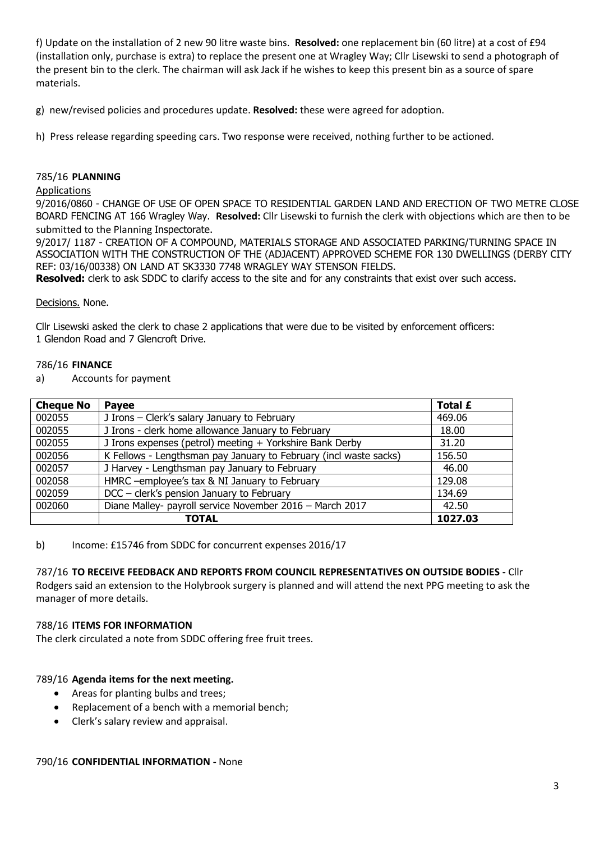f) Update on the installation of 2 new 90 litre waste bins. **Resolved:** one replacement bin (60 litre) at a cost of £94 (installation only, purchase is extra) to replace the present one at Wragley Way; Cllr Lisewski to send a photograph of the present bin to the clerk. The chairman will ask Jack if he wishes to keep this present bin as a source of spare materials.

g) new/revised policies and procedures update. **Resolved:** these were agreed for adoption.

h) Press release regarding speeding cars. Two response were received, nothing further to be actioned.

### 785/16 **PLANNING**

### Applications

9/2016/0860 - CHANGE OF USE OF OPEN SPACE TO RESIDENTIAL GARDEN LAND AND ERECTION OF TWO METRE CLOSE BOARD FENCING AT 166 Wragley Way. **Resolved:** Cllr Lisewski to furnish the clerk with objections which are then to be submitted to the Planning Inspectorate.

9/2017/ 1187 - CREATION OF A COMPOUND, MATERIALS STORAGE AND ASSOCIATED PARKING/TURNING SPACE IN ASSOCIATION WITH THE CONSTRUCTION OF THE (ADJACENT) APPROVED SCHEME FOR 130 DWELLINGS (DERBY CITY REF: 03/16/00338) ON LAND AT SK3330 7748 WRAGLEY WAY STENSON FIELDS.

**Resolved:** clerk to ask SDDC to clarify access to the site and for any constraints that exist over such access.

### Decisions. None.

Cllr Lisewski asked the clerk to chase 2 applications that were due to be visited by enforcement officers: 1 Glendon Road and 7 Glencroft Drive.

### 786/16 **FINANCE**

a) Accounts for payment

| <b>Cheque No</b> | <b>Payee</b>                                                      | Total £ |
|------------------|-------------------------------------------------------------------|---------|
| 002055           | J Irons - Clerk's salary January to February                      | 469.06  |
| 002055           | J Irons - clerk home allowance January to February                | 18.00   |
| 002055           | J Irons expenses (petrol) meeting + Yorkshire Bank Derby          | 31.20   |
| 002056           | K Fellows - Lengthsman pay January to February (incl waste sacks) | 156.50  |
| 002057           | J Harvey - Lengthsman pay January to February                     | 46.00   |
| 002058           | HMRC -employee's tax & NI January to February                     | 129.08  |
| 002059           | DCC - clerk's pension January to February                         | 134.69  |
| 002060           | Diane Malley- payroll service November 2016 - March 2017          | 42.50   |
|                  | <b>TOTAL</b>                                                      | 1027.03 |

b) Income: £15746 from SDDC for concurrent expenses 2016/17

787/16 **TO RECEIVE FEEDBACK AND REPORTS FROM COUNCIL REPRESENTATIVES ON OUTSIDE BODIES -** Cllr Rodgers said an extension to the Holybrook surgery is planned and will attend the next PPG meeting to ask the manager of more details.

#### 788/16 **ITEMS FOR INFORMATION**

The clerk circulated a note from SDDC offering free fruit trees.

### 789/16 **Agenda items for the next meeting.**

- Areas for planting bulbs and trees;
- Replacement of a bench with a memorial bench;
- Clerk's salary review and appraisal.

### 790/16 **CONFIDENTIAL INFORMATION -** None